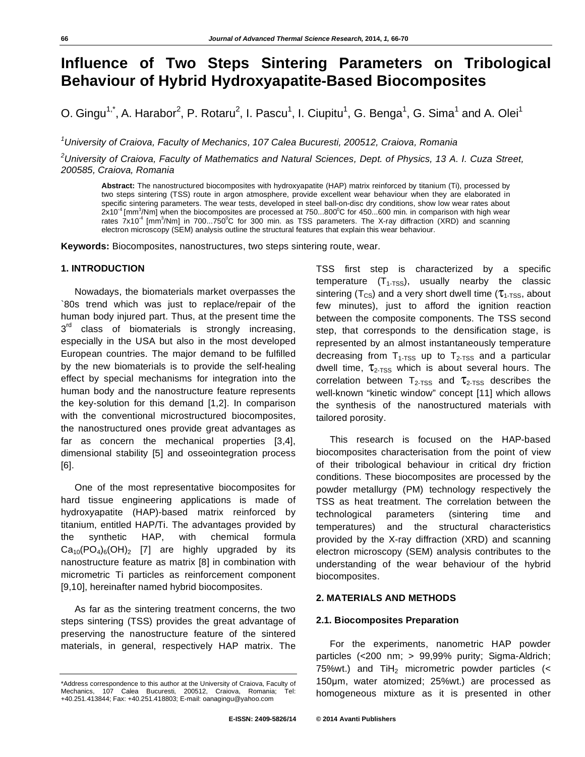# **Influence of Two Steps Sintering Parameters on Tribological Behaviour of Hybrid Hydroxyapatite-Based Biocomposites**

O. Gingu<sup>1,\*</sup>, A. Harabor<sup>2</sup>, P. Rotaru<sup>2</sup>, I. Pascu<sup>1</sup>, I. Ciupitu<sup>1</sup>, G. Benga<sup>1</sup>, G. Sima<sup>1</sup> and A. Olei<sup>1</sup>

*1 University of Craiova, Faculty of Mechanics, 107 Calea Bucuresti, 200512, Craiova, Romania* 

*2 University of Craiova, Faculty of Mathematics and Natural Sciences, Dept. of Physics, 13 A. I. Cuza Street, 200585, Craiova, Romania* 

**Abstract:** The nanostructured biocomposites with hydroxyapatite (HAP) matrix reinforced by titanium (Ti), processed by two steps sintering (TSS) route in argon atmosphere, provide excellent wear behaviour when they are elaborated in specific sintering parameters. The wear tests, developed in steel ball-on-disc dry conditions, show low wear rates about  $2x10^{-4}$  [mm<sup>3</sup>/Nm] when the biocomposites are processed at 750...800<sup>o</sup>C for 450...600 min. in comparison with high wear rates  $7x10^4$  [mm<sup>3</sup>/Nm] in 700...750<sup>o</sup>C for 300 min. as TSS parameters. The X-ray diffraction (XRD) and scanning electron microscopy (SEM) analysis outline the structural features that explain this wear behaviour.

**Keywords:** Biocomposites, nanostructures, two steps sintering route, wear.

## **1. INTRODUCTION**

Nowadays, the biomaterials market overpasses the `80s trend which was just to replace/repair of the human body injured part. Thus, at the present time the  $3<sup>rd</sup>$  class of biomaterials is strongly increasing, especially in the USA but also in the most developed European countries. The major demand to be fulfilled by the new biomaterials is to provide the self-healing effect by special mechanisms for integration into the human body and the nanostructure feature represents the key-solution for this demand [1,2]. In comparison with the conventional microstructured biocomposites, the nanostructured ones provide great advantages as far as concern the mechanical properties [3,4], dimensional stability [5] and osseointegration process [6].

One of the most representative biocomposites for hard tissue engineering applications is made of hydroxyapatite (HAP)-based matrix reinforced by titanium, entitled HAP/Ti. The advantages provided by the synthetic HAP, with chemical formula  $Ca_{10}(PO_4)_6(OH)_2$  [7] are highly upgraded by its nanostructure feature as matrix [8] in combination with micrometric Ti particles as reinforcement component [9,10], hereinafter named hybrid biocomposites.

As far as the sintering treatment concerns, the two steps sintering (TSS) provides the great advantage of preserving the nanostructure feature of the sintered materials, in general, respectively HAP matrix. The

TSS first step is characterized by a specific temperature  $(T<sub>1-TSS</sub>)$ , usually nearby the classic sintering ( $T_{CS}$ ) and a very short dwell time ( $\tau_{1-TSS}$ , about few minutes), just to afford the ignition reaction between the composite components. The TSS second step, that corresponds to the densification stage, is represented by an almost instantaneously temperature decreasing from  $T_{1-TSS}$  up to  $T_{2-TSS}$  and a particular dwell time,  $\tau_{2\text{-TSS}}$  which is about several hours. The correlation between  $T_{2-TSS}$  and  $T_{2-TSS}$  describes the well-known "kinetic window" concept [11] which allows the synthesis of the nanostructured materials with tailored porosity.

This research is focused on the HAP-based biocomposites characterisation from the point of view of their tribological behaviour in critical dry friction conditions. These biocomposites are processed by the powder metallurgy (PM) technology respectively the TSS as heat treatment. The correlation between the technological parameters (sintering time and temperatures) and the structural characteristics provided by the X-ray diffraction (XRD) and scanning electron microscopy (SEM) analysis contributes to the understanding of the wear behaviour of the hybrid biocomposites.

## **2. MATERIALS AND METHODS**

#### **2.1. Biocomposites Preparation**

For the experiments, nanometric HAP powder particles (<200 nm; > 99,99% purity; Sigma-Aldrich; 75%wt.) and  $TiH<sub>2</sub>$  micrometric powder particles (< 150um, water atomized; 25%wt.) are processed as homogeneous mixture as it is presented in other

<sup>\*</sup>Address correspondence to this author at the University of Craiova, Faculty of Mechanics, 107 Calea Bucuresti, 200512, Craiova, Romania; +40.251.413844; Fax: +40.251.418803; E-mail: oanagingu@yahoo.com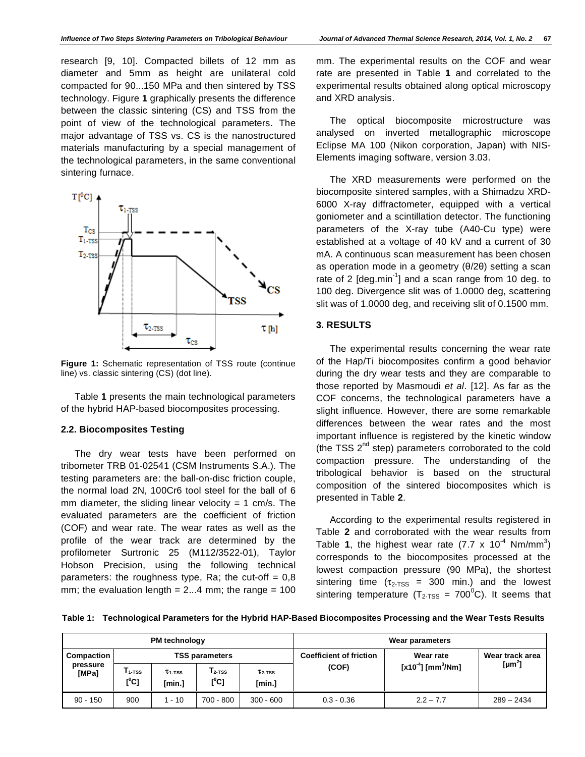research [9, 10]. Compacted billets of 12 mm as diameter and 5mm as height are unilateral cold compacted for 90...150 MPa and then sintered by TSS technology. Figure **1** graphically presents the difference between the classic sintering (CS) and TSS from the point of view of the technological parameters. The major advantage of TSS vs. CS is the nanostructured materials manufacturing by a special management of the technological parameters, in the same conventional sintering furnace.



**Figure 1:** Schematic representation of TSS route (continue line) vs. classic sintering (CS) (dot line).

Table **1** presents the main technological parameters of the hybrid HAP-based biocomposites processing.

#### **2.2. Biocomposites Testing**

The dry wear tests have been performed on tribometer TRB 01-02541 (CSM Instruments S.A.). The testing parameters are: the ball-on-disc friction couple, the normal load 2N, 100Cr6 tool steel for the ball of 6 mm diameter, the sliding linear velocity  $= 1$  cm/s. The evaluated parameters are the coefficient of friction (COF) and wear rate. The wear rates as well as the profile of the wear track are determined by the profilometer Surtronic 25 (M112/3522-01), Taylor Hobson Precision, using the following technical parameters: the roughness type, Ra; the cut-off  $= 0.8$ mm; the evaluation length  $= 2...4$  mm; the range  $= 100$ 

mm. The experimental results on the COF and wear rate are presented in Table **1** and correlated to the experimental results obtained along optical microscopy and XRD analysis.

The optical biocomposite microstructure was analysed on inverted metallographic microscope Eclipse MA 100 (Nikon corporation, Japan) with NIS-Elements imaging software, version 3.03.

The XRD measurements were performed on the biocomposite sintered samples, with a Shimadzu XRD-6000 X-ray diffractometer, equipped with a vertical goniometer and a scintillation detector. The functioning parameters of the X-ray tube (A40-Cu type) were established at a voltage of 40 kV and a current of 30 mA. A continuous scan measurement has been chosen as operation mode in a geometry  $(0/2\theta)$  setting a scan rate of 2 [deg.min<sup>-1</sup>] and a scan range from 10 deg. to 100 deg. Divergence slit was of 1.0000 deg, scattering slit was of 1.0000 deg, and receiving slit of 0.1500 mm.

# **3. RESULTS**

The experimental results concerning the wear rate of the Hap/Ti biocomposites confirm a good behavior during the dry wear tests and they are comparable to those reported by Masmoudi *et al*. [12]. As far as the COF concerns, the technological parameters have a slight influence. However, there are some remarkable differences between the wear rates and the most important influence is registered by the kinetic window (the TSS  $2^{nd}$  step) parameters corroborated to the cold compaction pressure. The understanding of the tribological behavior is based on the structural composition of the sintered biocomposites which is presented in Table **2**.

According to the experimental results registered in Table **2** and corroborated with the wear results from Table 1, the highest wear rate  $(7.7 \times 10^{-4} \text{ Nm/mm}^3)$ corresponds to the biocomposites processed at the lowest compaction pressure (90 MPa), the shortest sintering time  $(\tau_{2\text{-TSS}} = 300 \text{ min.})$  and the lowest sintering temperature ( $T_{2TSS}$  = 700<sup>0</sup>C). It seems that

**Table 1: Technological Parameters for the Hybrid HAP-Based Biocomposites Processing and the Wear Tests Results** 

| <b>PM</b> technology            |                       |                          |                                             |                          | Wear parameters                |                                    |                    |
|---------------------------------|-----------------------|--------------------------|---------------------------------------------|--------------------------|--------------------------------|------------------------------------|--------------------|
| Compaction<br>pressure<br>[MPa] | <b>TSS parameters</b> |                          |                                             |                          | <b>Coefficient of friction</b> | Wear rate                          | Wear track area    |
|                                 | $I_{1-TSS}$<br>[°C]   | $\tau_{1-TSS}$<br>[min.] | $T_{2-TSS}$<br>$\mathfrak{l}^{\text{o}}$ C] | $\tau_{2-TSS}$<br>[min.] | (COF)                          | $[x10^{-4}]$ [mm <sup>3</sup> /Nm] | [µm <sup>2</sup> ] |
| $90 - 150$                      | 900                   | $-10$                    | $700 - 800$                                 | $300 - 600$              | $0.3 - 0.36$                   | $2.2 - 7.7$                        | $289 - 2434$       |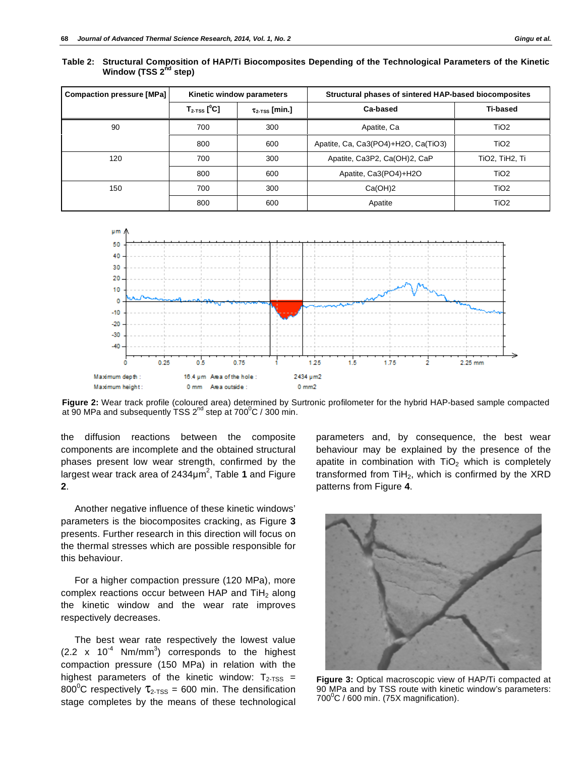| <b>Compaction pressure [MPa]</b> |                                      | Kinetic window parameters    | Structural phases of sintered HAP-based biocomposites |                  |  |
|----------------------------------|--------------------------------------|------------------------------|-------------------------------------------------------|------------------|--|
|                                  | $T_{2\text{-TSS}}$ [ <sup>0</sup> C] | $\tau_{2\text{-TSS}}$ [min.] | Ca-based                                              | <b>Ti-based</b>  |  |
| 90                               | 700                                  | 300                          | Apatite, Ca                                           | TiO <sub>2</sub> |  |
|                                  | 800                                  | 600                          | Apatite, Ca, Ca3(PO4)+H2O, Ca(TiO3)                   | TiO <sub>2</sub> |  |
| 120                              | 700                                  | 300                          | Apatite, Ca3P2, Ca(OH)2, CaP                          | TiO2, TiH2, Ti   |  |
|                                  | 800                                  | 600                          | Apatite, Ca3(PO4)+H2O                                 | TiO <sub>2</sub> |  |
| 150                              | 700                                  | 300                          | Ca(OH)2                                               | TiO <sub>2</sub> |  |
|                                  | 800                                  | 600                          | Apatite                                               | TiO <sub>2</sub> |  |

**Table 2: Structural Composition of HAP/Ti Biocomposites Depending of the Technological Parameters of the Kinetic Window (TSS 2<sup>nd</sup> step)** 



**Figure 2:** Wear track profile (coloured area) determined by Surtronic profilometer for the hybrid HAP-based sample compacted at 90 MPa and subsequently TSS 2<sup>nd</sup> step at 700 $\mathrm{^0C}$  / 300 min.

the diffusion reactions between the composite components are incomplete and the obtained structural phases present low wear strength, confirmed by the largest wear track area of 2434µm<sup>2</sup>, Table 1 and Figure **2**.

Another negative influence of these kinetic windows' parameters is the biocomposites cracking, as Figure **3** presents. Further research in this direction will focus on the thermal stresses which are possible responsible for this behaviour.

For a higher compaction pressure (120 MPa), more complex reactions occur between HAP and  $TiH<sub>2</sub>$  along the kinetic window and the wear rate improves respectively decreases.

The best wear rate respectively the lowest value  $(2.2 \times 10^{-4} \text{ Nm/mm}^3)$  corresponds to the highest compaction pressure (150 MPa) in relation with the highest parameters of the kinetic window:  $T_{2-TSS}$  = 800<sup>°</sup>C respectively  $\tau_{2\text{-TSS}}$  = 600 min. The densification stage completes by the means of these technological

parameters and, by consequence, the best wear behaviour may be explained by the presence of the apatite in combination with  $TiO<sub>2</sub>$  which is completely transformed from  $TiH<sub>2</sub>$ , which is confirmed by the XRD patterns from Figure **4**.



**Figure 3:** Optical macroscopic view of HAP/Ti compacted at 90 MPa and by TSS route with kinetic window's parameters:  $700^{\circ}$ C / 600 min. (75X magnification).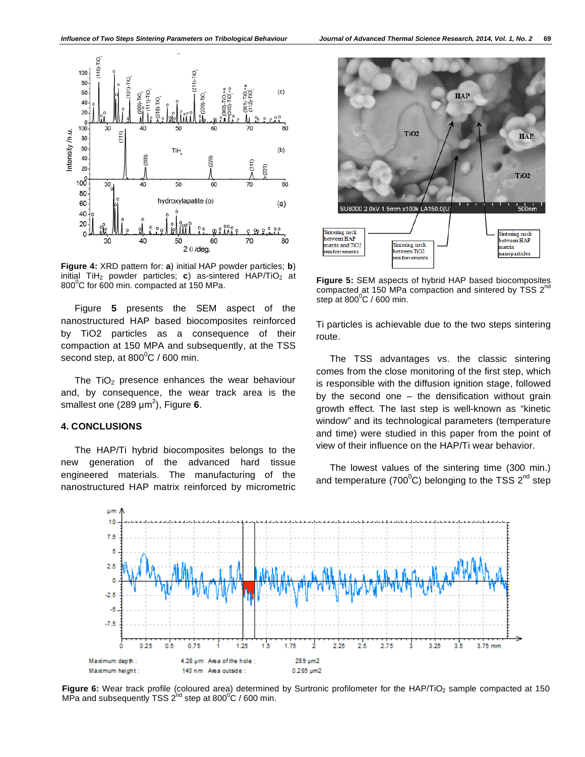

**Figure 4:** XRD pattern for: **a**) initial HAP powder particles; **b**) initial  $TiH<sub>2</sub>$  powder particles; **c**) as-sintered  $HAP/TiO<sub>2</sub>$  at  $800^{\circ}$ C for 600 min. compacted at 150 MPa.

Figure **5** presents the SEM aspect of the nanostructured HAP based biocomposites reinforced by TiO2 particles as a consequence of their compaction at 150 MPA and subsequently, at the TSS second step, at 800 $\rm ^{0}C$  / 600 min.

The  $TiO<sub>2</sub>$  presence enhances the wear behaviour and, by consequence, the wear track area is the smallest one (289 µm<sup>2</sup>), Figure 6.

# **4. CONCLUSIONS**

The HAP/Ti hybrid biocomposites belongs to the new generation of the advanced hard tissue engineered materials. The manufacturing of the nanostructured HAP matrix reinforced by micrometric



**Figure 5:** SEM aspects of hybrid HAP based biocomposites compacted at 150 MPa compaction and sintered by TSS  $2^{n\alpha}$ step at 800 $\mathrm{^0C}$  / 600 min.

Ti particles is achievable due to the two steps sintering route.

The TSS advantages vs. the classic sintering comes from the close monitoring of the first step, which is responsible with the diffusion ignition stage, followed by the second one  $-$  the densification without grain growth effect. The last step is well-known as "kinetic window" and its technological parameters (temperature and time) were studied in this paper from the point of view of their influence on the HAP/Ti wear behavior.

The lowest values of the sintering time (300 min.) and temperature (700 $\rm ^{o}$ C) belonging to the TSS 2<sup>nd</sup> step



Figure 6: Wear track profile (coloured area) determined by Surtronic profilometer for the HAP/TiO<sub>2</sub> sample compacted at 150 MPa and subsequently TSS 2<sup>nd</sup> step at 800<sup>o</sup>C / 600 min.